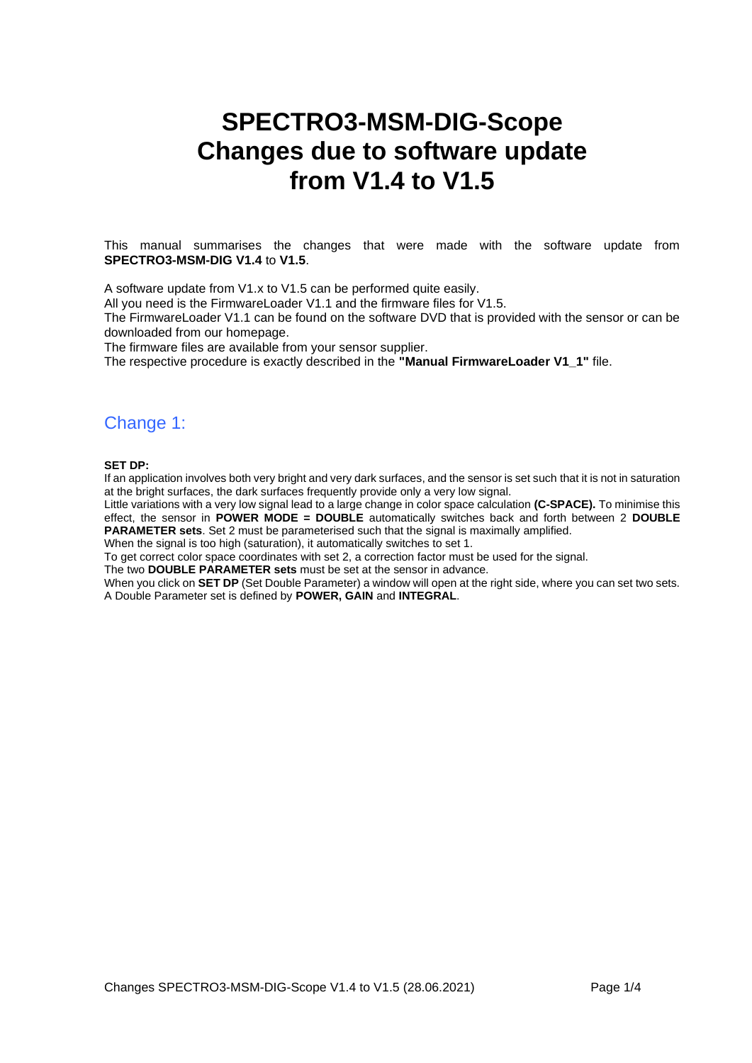# **SPECTRO3-MSM-DIG-Scope Changes due to software update from V1.4 to V1.5**

This manual summarises the changes that were made with the software update from **SPECTRO3-MSM-DIG V1.4** to **V1.5**.

A software update from V1.x to V1.5 can be performed quite easily.

All you need is the FirmwareLoader V1.1 and the firmware files for V1.5.

The FirmwareLoader V1.1 can be found on the software DVD that is provided with the sensor or can be downloaded from our homepage.

The firmware files are available from your sensor supplier.

The respective procedure is exactly described in the **"Manual FirmwareLoader V1\_1"** file.

## Change 1:

**SET DP:**

If an application involves both very bright and very dark surfaces, and the sensor is set such that it is not in saturation at the bright surfaces, the dark surfaces frequently provide only a very low signal.

Little variations with a very low signal lead to a large change in color space calculation **(C-SPACE).** To minimise this effect, the sensor in **POWER MODE = DOUBLE** automatically switches back and forth between 2 **DOUBLE PARAMETER sets**. Set 2 must be parameterised such that the signal is maximally amplified.

When the signal is too high (saturation), it automatically switches to set 1.

To get correct color space coordinates with set 2, a correction factor must be used for the signal.

The two **DOUBLE PARAMETER sets** must be set at the sensor in advance. When you click on **SET DP** (Set Double Parameter) a window will open at the right side, where you can set two sets.

A Double Parameter set is defined by **POWER, GAIN** and **INTEGRAL**.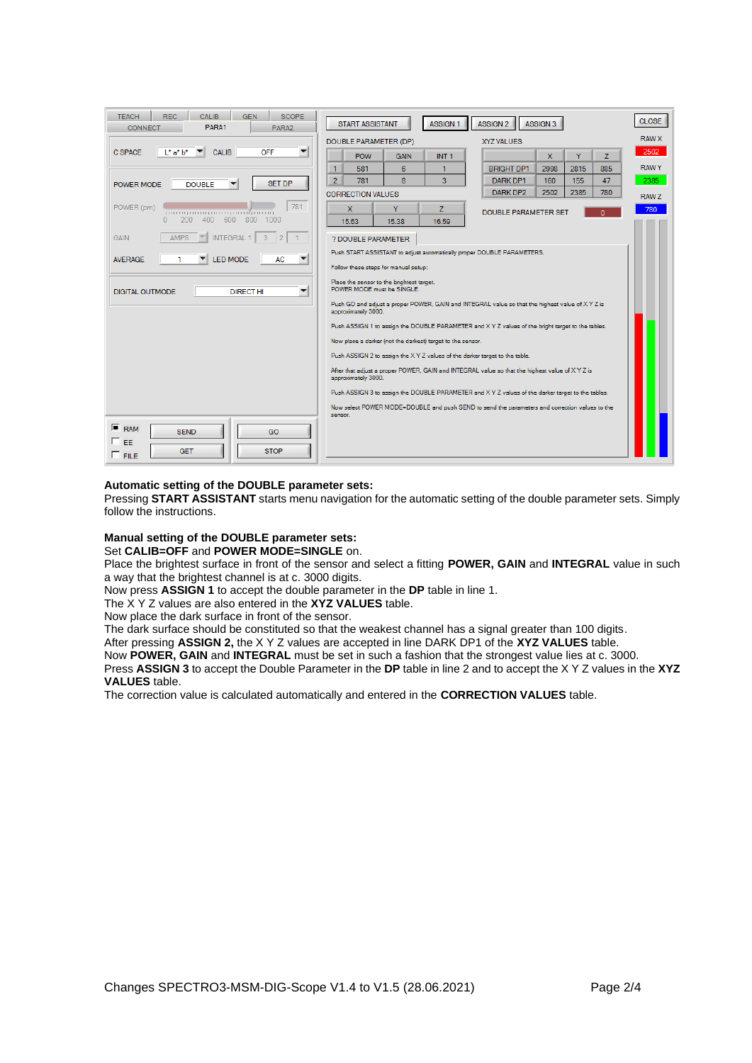| <b>REC</b><br><b>CALIB</b><br><b>GEN</b><br><b>SCOPE</b><br><b>TEACH</b><br>PARA1<br><b>CONNECT</b><br>PARA2 | <b>START ASSISTANT</b><br><b>ASSIGN 1</b><br>ASSIGN <sub>2</sub><br>ASSIGN <sub>3</sub>                                | <b>CLOSE</b> |
|--------------------------------------------------------------------------------------------------------------|------------------------------------------------------------------------------------------------------------------------|--------------|
|                                                                                                              | DOUBLE PARAMETER (DP)<br><b>XYZ VALUES</b>                                                                             | <b>RAW X</b> |
| C SPACE<br>OFF<br>$L^*$ a* $b^*$<br><b>CALIB</b>                                                             | Ÿ.<br>$\mathbf{x}$<br>z<br><b>POW</b><br>INT <sub>1</sub><br><b>GAIN</b>                                               | 2502         |
|                                                                                                              | 1<br>581<br>6<br><b>BRIGHT DP1</b><br>2998<br>2815<br>885<br>1                                                         | <b>RAWY</b>  |
| <b>SET DP</b><br><b>DOUBLE</b><br>POWER MODE                                                                 | $\overline{2}$<br>$\overline{\mathbf{a}}$<br>3<br>781<br>47<br>DARK DP1<br>160<br>155                                  | 2385         |
|                                                                                                              | 2502<br>2385<br>DARK DP2<br>780<br><b>CORRECTION VALUES</b>                                                            | RAW Z        |
| 781<br>POWER (pm)<br>րուսզատարասպատմրասպ                                                                     | $\mathbf{x}$<br>Y<br>Z.<br><b>DOUBLE PARAMETER SET</b><br>n                                                            | 780          |
| 600<br>200<br>400<br>800<br>$\Omega$<br>1000                                                                 | 15.63<br>15.38<br>16.59                                                                                                |              |
| AMP8<br><b>GAIN</b><br>$\overline{2}$<br><b>INTEGRAL</b>                                                     | ? DOUBLE PARAMETER                                                                                                     |              |
| <b>LED MODE</b><br><b>AVERAGE</b><br><b>AC</b><br>▼                                                          | Push START ASSISTANT to adjust automatically proper DOUBLE PARAMETERS.                                                 |              |
|                                                                                                              | Follow these steps for manual setup:                                                                                   |              |
| ▼<br>DIGITAL OUTMODE<br><b>DIRECT HI</b>                                                                     | Place the sensor to the brightest target.<br>POWER MODE must be SINGLE.                                                |              |
|                                                                                                              | Push GO and adjust a proper POWER, GAIN and INTEGRAL value so that the highest value of XYZ is<br>approximately 3000.  |              |
|                                                                                                              | Push ASSIGN 1 to assign the DOUBLE PARAMETER and X Y Z values of the bright target to the tables.                      |              |
|                                                                                                              | Now place a darker (not the darkest) target to the sensor.                                                             |              |
|                                                                                                              | Push ASSIGN 2 to assign the X Y Z values of the darker target to the table.                                            |              |
|                                                                                                              | After that adjust a proper POWER, GAIN and INTEGRAL value so that the highest value of X Y Z is<br>approximately 3000. |              |
|                                                                                                              | Push ASSIGN 3 to assign the DOUBLE PARAMETER and X Y Z values of the darker target to the tables.                      |              |
|                                                                                                              | Now select POWER MODE=DOUBLE and push SEND to send the parameters and correction values to the                         |              |
|                                                                                                              | sensor.                                                                                                                |              |
| $F$ RAM<br><b>SEND</b><br>GO<br>$\sqcap$ FF.                                                                 |                                                                                                                        |              |
| <b>GET</b><br><b>STOP</b><br>$F$ FILE                                                                        |                                                                                                                        |              |

#### **Automatic setting of the DOUBLE parameter sets:**

Pressing **START ASSISTANT** starts menu navigation for the automatic setting of the double parameter sets. Simply follow the instructions.

## **Manual setting of the DOUBLE parameter sets:**

Set **CALIB=OFF** and **POWER MODE=SINGLE** on.

Place the brightest surface in front of the sensor and select a fitting **POWER, GAIN** and **INTEGRAL** value in such a way that the brightest channel is at c. 3000 digits.

Now press **ASSIGN 1** to accept the double parameter in the **DP** table in line 1.

The X Y Z values are also entered in the **XYZ VALUES** table.

Now place the dark surface in front of the sensor.

The dark surface should be constituted so that the weakest channel has a signal greater than 100 digits.

After pressing **ASSIGN 2,** the X Y Z values are accepted in line DARK DP1 of the **XYZ VALUES** table.

Now **POWER, GAIN** and **INTEGRAL** must be set in such a fashion that the strongest value lies at c. 3000.

Press **ASSIGN 3** to accept the Double Parameter in the **DP** table in line 2 and to accept the X Y Z values in the **XYZ VALUES** table.

The correction value is calculated automatically and entered in the **CORRECTION VALUES** table.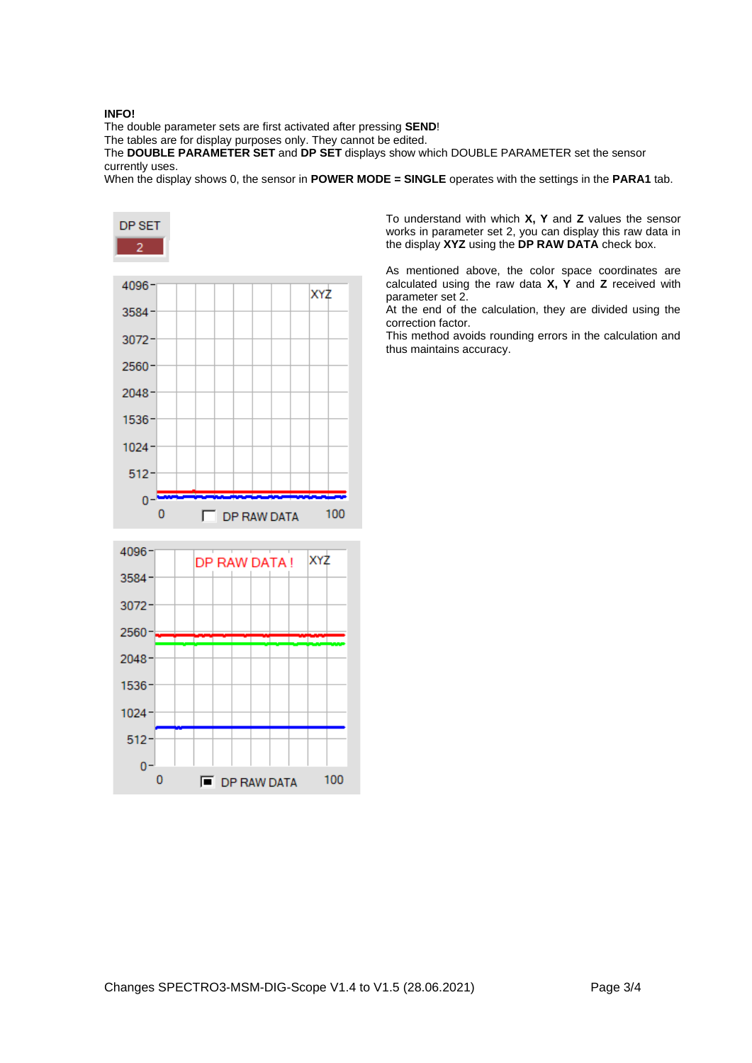### **INFO!**

The double parameter sets are first activated after pressing **SEND**!

The tables are for display purposes only. They cannot be edited.

The **DOUBLE PARAMETER SET** and **DP SET** displays show which DOUBLE PARAMETER set the sensor currently uses.

When the display shows 0, the sensor in **POWER MODE = SINGLE** operates with the settings in the **PARA1** tab.



To understand with which **X, Y** and **Z** values the sensor works in parameter set 2, you can display this raw data in the display **XYZ** using the **DP RAW DATA** check box.

As mentioned above, the color space coordinates are calculated using the raw data **X, Y** and **Z** received with parameter set 2.

At the end of the calculation, they are divided using the correction factor.

This method avoids rounding errors in the calculation and thus maintains accuracy.